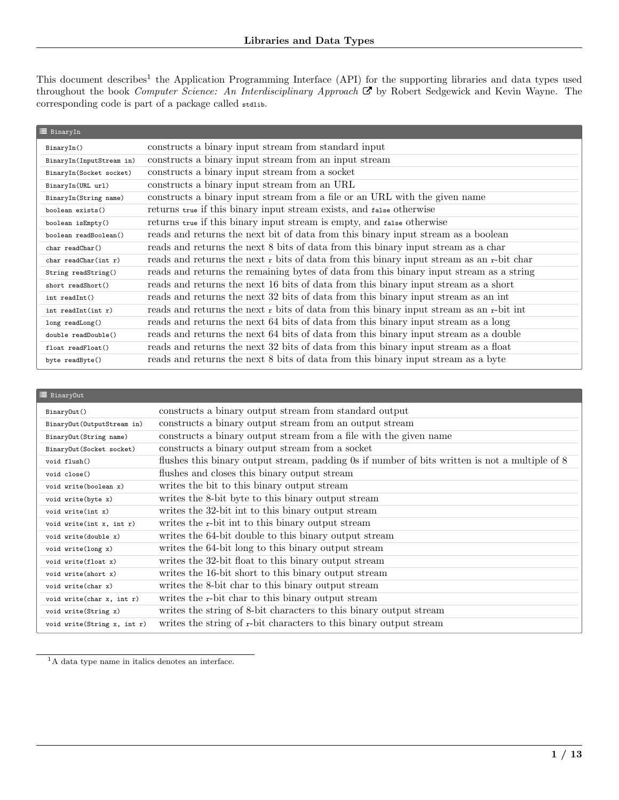This document describes<sup>[1](#page-0-0)</sup> the Application Programming Interface (API) for the supporting libraries and data types used throughout the book [Computer Science: An Interdisciplinary Approach](https://www.amazon.com/Computer-Science-Interdisciplinary-Robert-Sedgewick/dp/0134076427/)  $\mathbf{\Sigma}$  by Robert Sedgewick and Kevin Wayne. The corresponding code is part of a package called stdlib.

| BinaryIn                  |                                                                                               |
|---------------------------|-----------------------------------------------------------------------------------------------|
| BinaryIn()                | constructs a binary input stream from standard input                                          |
| BinaryIn(InputStream in)  | constructs a binary input stream from an input stream                                         |
| BinaryIn(Socket socket)   | constructs a binary input stream from a socket                                                |
| BinaryIn(URL url)         | constructs a binary input stream from an URL                                                  |
| BinaryIn(String name)     | constructs a binary input stream from a file or an URL with the given name                    |
| boolean exists()          | returns true if this binary input stream exists, and false otherwise                          |
| boolean isEmpty()         | returns true if this binary input stream is empty, and false otherwise                        |
| boolean readBoolean()     | reads and returns the next bit of data from this binary input stream as a boolean             |
| char readChar()           | reads and returns the next 8 bits of data from this binary input stream as a char             |
| $char$ readChar(int $r$ ) | reads and returns the next $r$ bits of data from this binary input stream as an $r$ -bit char |
| String readString()       | reads and returns the remaining bytes of data from this binary input stream as a string       |
| short readShort()         | reads and returns the next 16 bits of data from this binary input stream as a short           |
| int readInt()             | reads and returns the next 32 bits of data from this binary input stream as an int            |
| int readInt $(int r)$     | reads and returns the next r bits of data from this binary input stream as an r-bit int       |
| long readLong()           | reads and returns the next 64 bits of data from this binary input stream as a long            |
| double readDouble()       | reads and returns the next 64 bits of data from this binary input stream as a double          |
| float readFloat()         | reads and returns the next 32 bits of data from this binary input stream as a float           |
| byte readByte()           | reads and returns the next 8 bits of data from this binary input stream as a byte             |

| <b>三</b> BinaryOut          |                                                                                                |
|-----------------------------|------------------------------------------------------------------------------------------------|
| BinaryOut()                 | constructs a binary output stream from standard output                                         |
| BinaryOut(OutputStream in)  | constructs a binary output stream from an output stream                                        |
| BinaryOut(String name)      | constructs a binary output stream from a file with the given name                              |
| BinaryOut (Socket socket)   | constructs a binary output stream from a socket                                                |
| void flush()                | flushes this binary output stream, padding 0s if number of bits written is not a multiple of 8 |
| void close()                | flushes and closes this binary output stream                                                   |
| void write(boolean x)       | writes the bit to this binary output stream                                                    |
| void write(byte x)          | writes the 8-bit byte to this binary output stream                                             |
| void write(int x)           | writes the 32-bit int to this binary output stream                                             |
| void write(int x, int r)    | writes the r-bit int to this binary output stream                                              |
| void write(double x)        | writes the 64-bit double to this binary output stream                                          |
| void write(long x)          | writes the 64-bit long to this binary output stream                                            |
| void write(float x)         | writes the 32-bit float to this binary output stream                                           |
| void write(short x)         | writes the 16-bit short to this binary output stream                                           |
| void write(char x)          | writes the 8-bit char to this binary output stream                                             |
| void write(char x, int r)   | writes the r-bit char to this binary output stream                                             |
| void write(String x)        | writes the string of 8-bit characters to this binary output stream                             |
| void write(String x, int r) | writes the string of r-bit characters to this binary output stream                             |

<span id="page-0-0"></span> $^1\mathrm{A}$  data type name in italics denotes an interface.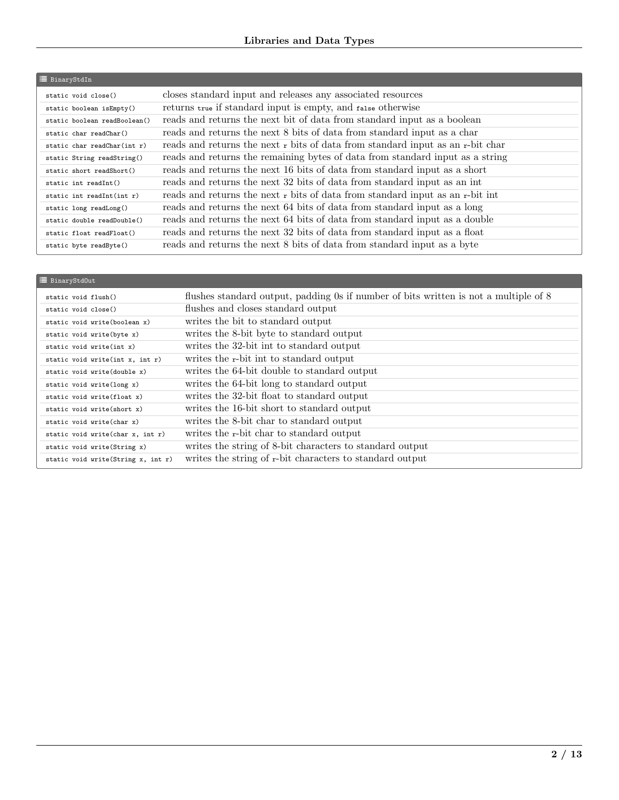## Libraries and Data Types

| <b>E</b> BinaryStdIn         |                                                                                     |
|------------------------------|-------------------------------------------------------------------------------------|
| static void close()          | closes standard input and releases any associated resources                         |
| static boolean isEmpty()     | returns true if standard input is empty, and false otherwise                        |
| static boolean readBoolean() | reads and returns the next bit of data from standard input as a boolean             |
| static char readChar()       | reads and returns the next 8 bits of data from standard input as a char             |
| static char readChar(int r)  | reads and returns the next $r$ bits of data from standard input as an $r$ -bit char |
| static String readString()   | reads and returns the remaining bytes of data from standard input as a string       |
| static short readShort()     | reads and returns the next 16 bits of data from standard input as a short           |
| static int readInt()         | reads and returns the next 32 bits of data from standard input as an int            |
| static int readInt $(int r)$ | reads and returns the next r bits of data from standard input as an r-bit int       |
| static long readLong()       | reads and returns the next 64 bits of data from standard input as a long            |
| static double readDouble()   | reads and returns the next 64 bits of data from standard input as a double          |
| static float readFloat()     | reads and returns the next 32 bits of data from standard input as a float           |
| static byte readByte()       | reads and returns the next 8 bits of data from standard input as a byte             |

| <b>E</b> BinaryStd0ut              |                                                                                      |
|------------------------------------|--------------------------------------------------------------------------------------|
| static void flush()                | flushes standard output, padding 0s if number of bits written is not a multiple of 8 |
| static void close()                | flushes and closes standard output                                                   |
| static void write (boolean x)      | writes the bit to standard output                                                    |
| static void write(byte x)          | writes the 8-bit byte to standard output                                             |
| static void write(int x)           | writes the 32-bit int to standard output                                             |
| static void write(int x, int r)    | writes the r-bit int to standard output                                              |
| static void write (double x)       | writes the 64-bit double to standard output                                          |
| static void write(long x)          | writes the 64-bit long to standard output                                            |
| static void write(float x)         | writes the 32-bit float to standard output                                           |
| static void write(short x)         | writes the 16-bit short to standard output                                           |
| static void write(char x)          | writes the 8-bit char to standard output                                             |
| static void write(char x, int r)   | writes the r-bit char to standard output                                             |
| static void write(String x)        | writes the string of 8-bit characters to standard output                             |
| static void write(String x, int r) | writes the string of r-bit characters to standard output                             |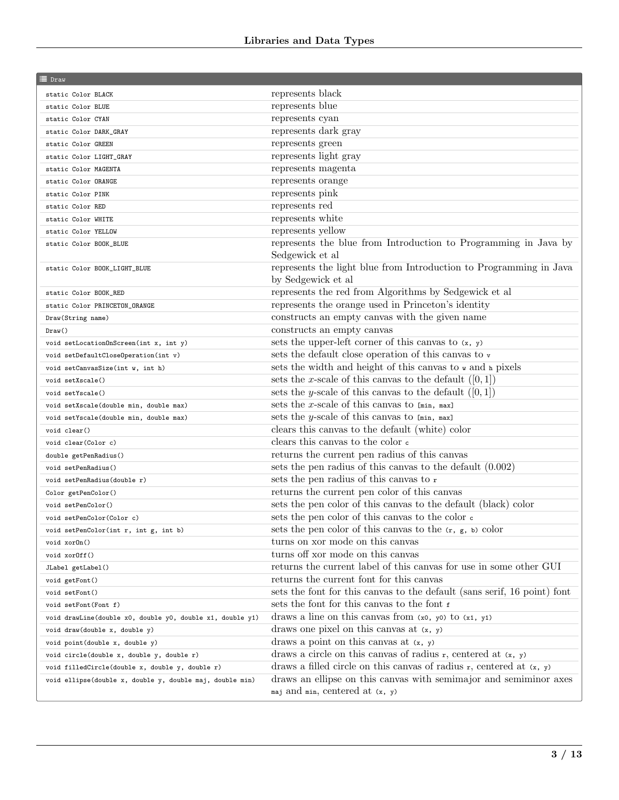| ≡ Draw                                                    |                                                                           |
|-----------------------------------------------------------|---------------------------------------------------------------------------|
| static Color BLACK                                        | represents black                                                          |
| static Color BLUE                                         | represents blue                                                           |
| static Color CYAN                                         | represents cyan                                                           |
| static Color DARK_GRAY                                    | represents dark gray                                                      |
| static Color GREEN                                        | represents green                                                          |
| static Color LIGHT_GRAY                                   | represents light gray                                                     |
| static Color MAGENTA                                      | represents magenta                                                        |
| static Color ORANGE                                       | represents orange                                                         |
| static Color PINK                                         | represents pink                                                           |
| static Color RED                                          | represents red                                                            |
| static Color WHITE                                        | represents white                                                          |
| static Color YELLOW                                       | represents yellow                                                         |
| static Color BOOK_BLUE                                    | represents the blue from Introduction to Programming in Java by           |
|                                                           | Sedgewick et al                                                           |
| static Color BOOK_LIGHT_BLUE                              | represents the light blue from Introduction to Programming in Java        |
|                                                           | by Sedgewick et al                                                        |
| static Color BOOK_RED                                     | represents the red from Algorithms by Sedgewick et al                     |
| static Color PRINCETON_ORANGE                             | represents the orange used in Princeton's identity                        |
| Draw(String name)                                         | constructs an empty canvas with the given name                            |
| Draw()                                                    | constructs an empty canvas                                                |
| void setLocationOnScreen(int x, int y)                    | sets the upper-left corner of this canvas to $(x, y)$                     |
| void setDefaultCloseOperation(int v)                      | sets the default close operation of this canvas to $\mathbf{v}$           |
| void setCanvasSize(int w, int h)                          | sets the width and height of this canvas to w and a pixels                |
| void setXscale()                                          | sets the x-scale of this canvas to the default $([0, 1])$                 |
| void setYscale()                                          | sets the y-scale of this canvas to the default $([0,1])$                  |
| void setXscale(double min, double max)                    | sets the x-scale of this canvas to $[min, max]$                           |
| void setYscale(double min, double max)                    | sets the y-scale of this canvas to $[min, max]$                           |
| void clear()                                              | clears this canvas to the default (white) color                           |
| void clear(Color c)                                       | clears this canvas to the color $\epsilon$                                |
| double getPenRadius()                                     | returns the current pen radius of this canvas                             |
| void setPenRadius()                                       | sets the pen radius of this canvas to the default $(0.002)$               |
| void setPenRadius(double r)                               | sets the pen radius of this canvas to r                                   |
| Color getPenColor()                                       | returns the current pen color of this canvas                              |
| void setPenColor()                                        | sets the pen color of this canvas to the default (black) color            |
| void setPenColor(Color c)                                 | sets the pen color of this canvas to the color $\epsilon$                 |
| void setPenColor(int r, int g, int b)                     | sets the pen color of this canvas to the $(r, g, b)$ color                |
| void xorOn()                                              | turns on xor mode on this canvas<br>turns off xor mode on this canvas     |
| void xorOff()                                             | returns the current label of this canvas for use in some other GUI        |
| JLabel getLabel()                                         | returns the current font for this can vas                                 |
| void getFont()<br>void setFont()                          | sets the font for this can vas to the default (sans serif, 16 point) font |
| void setFont (Font f)                                     | sets the font for this canvas to the font f                               |
| void drawLine(double x0, double y0, double x1, double y1) | draws a line on this canvas from $(x_0, y_0)$ to $(x_1, y_1)$             |
| void draw(double x, double y)                             | draws one pixel on this canvas at $(x, y)$                                |
| void point (double x, double y)                           | draws a point on this canvas at $(x, y)$                                  |
| void circle(double x, double y, double r)                 | draws a circle on this canvas of radius $r$ , centered at $(x, y)$        |
| void filledCircle(double x, double y, double r)           | draws a filled circle on this canvas of radius $r$ , centered at $(x, y)$ |
| void ellipse(double x, double y, double maj, double min)  | draws an ellipse on this canvas with semimajor and semiminor axes         |
|                                                           | maj and min, centered at $(x, y)$                                         |
|                                                           |                                                                           |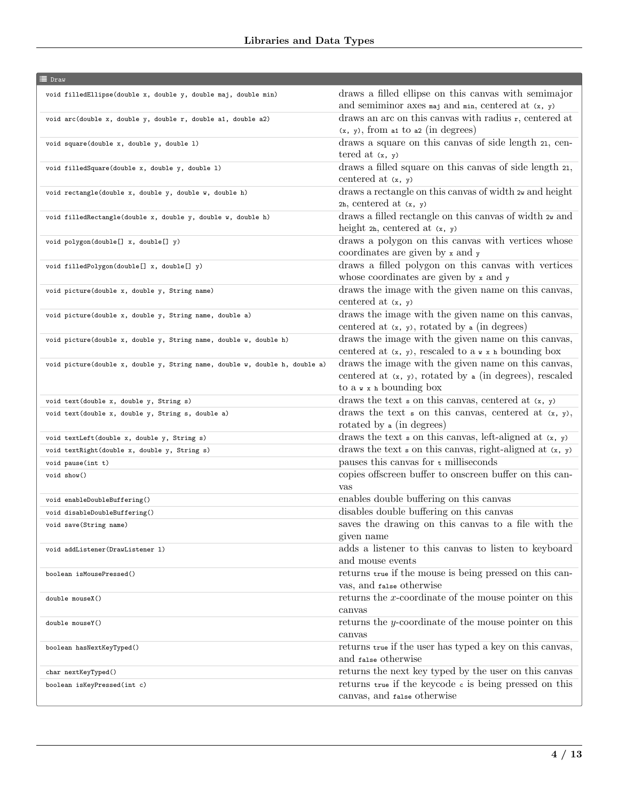| <b>E</b> Draw                                                               |                                                                                                                                                     |
|-----------------------------------------------------------------------------|-----------------------------------------------------------------------------------------------------------------------------------------------------|
| void filledEllipse(double x, double y, double maj, double min)              | draws a filled ellipse on this canvas with semimajor<br>and semiminor axes $maj$ and $min$ , centered at $(x, y)$                                   |
| void arc(double x, double y, double r, double a1, double a2)                | draws an arc on this canvas with radius r, centered at<br>$(x, y)$ , from at to a2 (in degrees)                                                     |
| void square(double x, double y, double 1)                                   | draws a square on this canvas of side length 21, cen-<br>tered at $(x, y)$                                                                          |
| void filledSquare(double x, double y, double 1)                             | draws a filled square on this canvas of side length 21,<br>centered at $(x, y)$                                                                     |
| void rectangle(double x, double y, double w, double h)                      | draws a rectangle on this canvas of width $2\pi$ and height<br>$2h$ , centered at $(x, y)$                                                          |
| void filledRectangle(double x, double y, double w, double h)                | draws a filled rectangle on this can<br>vas of width $\it{2w}$ and<br>height $2h$ , centered at $(x, y)$                                            |
| void polygon(double[] x, double[] y)                                        | draws a polygon on this canvas with vertices whose<br>coordinates are given by x and y                                                              |
| void filledPolygon(double[] x, double[] y)                                  | draws a filled polygon on this canvas with vertices<br>whose coordinates are given by $x$ and $y$                                                   |
| void picture(double x, double y, String name)                               | draws the image with the given name on this canvas,<br>centered at $(x, y)$                                                                         |
| void picture(double x, double y, String name, double a)                     | draws the image with the given name on this canvas,<br>centered at $(x, y)$ , rotated by a (in degrees)                                             |
| void picture(double x, double y, String name, double w, double h)           | draws the image with the given name on this canvas,<br>centered at $(x, y)$ , rescaled to $a \times x$ h bounding box                               |
| void picture(double x, double y, String name, double w, double h, double a) | draws the image with the given name on this canvas,<br>centered at $(x, y)$ , rotated by a (in degrees), rescaled<br>to $a \times x$ h bounding box |
| void text(double x, double y, String s)                                     | draws the text ${\mathfrak s}$ on this can<br>vas, centered at $({\mathfrak x},\;{\mathfrak y})$                                                    |
| void text(double x, double y, String s, double a)                           | draws the text $\sin$ on this canvas, centered at $(x, y)$ ,<br>rotated by a (in degrees)                                                           |
| void textLeft(double x, double y, String s)                                 | draws the text $\boldsymbol{s}$ on this canvas, left-aligned at $(\boldsymbol{x}, \boldsymbol{y})$                                                  |
| void textRight(double x, double y, String s)                                | draws the text $\sin$ on this canvas, right-aligned at $(x, y)$                                                                                     |
| void pause(int t)                                                           | pauses this canvas for $t$ milliseconds                                                                                                             |
| void show()                                                                 | copies offscreen buffer to onscreen buffer on this can-<br>vas                                                                                      |
| void enableDoubleBuffering()                                                | enables double buffering on this canvas                                                                                                             |
| void disableDoubleBuffering()                                               | disables double buffering on this canvas                                                                                                            |
| void save(String name)                                                      | saves the drawing on this canvas to a file with the<br>given name                                                                                   |
| void addListener(DrawListener 1)                                            | adds a listener to this canvas to listen to keyboard<br>and mouse events                                                                            |
| boolean isMousePressed()                                                    | returns true if the mouse is being pressed on this can-<br>vas, and false otherwise                                                                 |
| double mouseX()                                                             | returns the $x$ -coordinate of the mouse pointer on this<br>canvas                                                                                  |
| double mouseY()                                                             | returns the $y$ -coordinate of the mouse pointer on this<br>canvas                                                                                  |
| boolean hasNextKeyTyped()                                                   | returns true if the user has typed a key on this canvas,<br>and false otherwise                                                                     |
| char nextKeyTyped()                                                         | returns the next key typed by the user on this canvas                                                                                               |
| boolean isKeyPressed(int c)                                                 | returns true if the keycode c is being pressed on this<br>canvas, and false otherwise                                                               |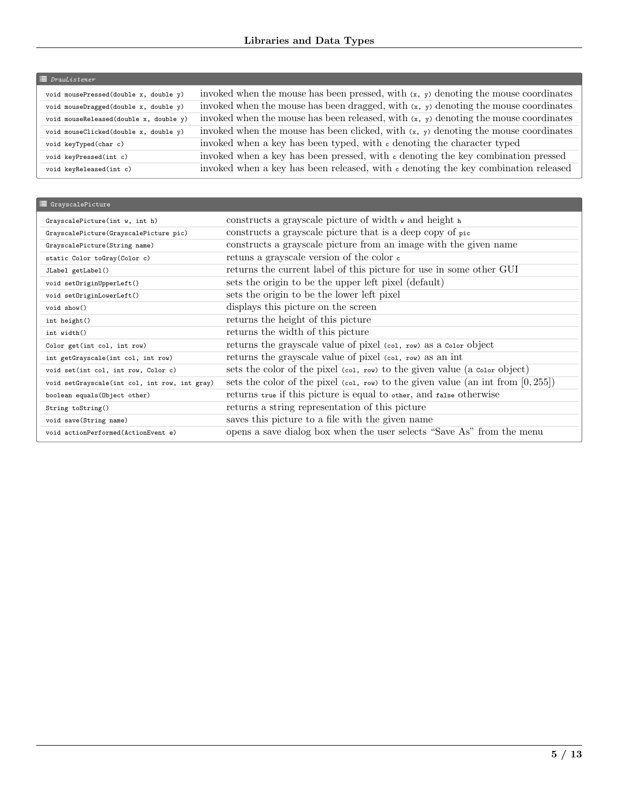| $\equiv$ DrawListener                  |                                                                                             |
|----------------------------------------|---------------------------------------------------------------------------------------------|
| void mousePressed(double x, double y)  | invoked when the mouse has been pressed, with $(x, y)$ denoting the mouse coordinates       |
| void mouseDragged(double x, double y)  | invoked when the mouse has been dragged, with $(x, y)$ denoting the mouse coordinates       |
| void mouseReleased(double x, double y) | invoked when the mouse has been released, with $(x, y)$ denoting the mouse coordinates      |
| void mouseClicked(double x, double y)  | invoked when the mouse has been clicked, with $(x, y)$ denoting the mouse coordinates       |
| void keyTyped(char c)                  | invoked when a key has been typed, with c denoting the character typed                      |
| void keyPressed(int c)                 | invoked when a key has been pressed, with $\epsilon$ denoting the key combination pressed   |
| void keyReleased(int c)                | invoked when a key has been released, with $\epsilon$ denoting the key combination released |

| <b>■</b> GrayscalePicture                     |                                                                                                            |
|-----------------------------------------------|------------------------------------------------------------------------------------------------------------|
| GrayscalePicture(int w, int h)                | constructs a grayscale picture of width $\mathbf{w}$ and height $\mathbf{h}$                               |
| GrayscalePicture(GrayscalePicture pic)        | constructs a grayscale picture that is a deep copy of pic                                                  |
| GrayscalePicture(String name)                 | constructs a grayscale picture from an image with the given name                                           |
| static Color toGray(Color c)                  | retuns a grayscale version of the color $\epsilon$                                                         |
| JLabel getLabel()                             | returns the current label of this picture for use in some other GUI                                        |
| void setOriginUpperLeft()                     | sets the origin to be the upper left pixel (default)                                                       |
| void setOriginLowerLeft()                     | sets the origin to be the lower left pixel                                                                 |
| void show()                                   | displays this picture on the screen                                                                        |
| int height()                                  | returns the height of this picture                                                                         |
| int width()                                   | returns the width of this picture                                                                          |
| Color get(int col, int row)                   | returns the grayscale value of pixel (col, row) as a color object                                          |
| int getGrayscale(int col, int row)            | returns the grayscale value of pixel (col, row) as an int                                                  |
| void set(int col, int row, Color c)           | sets the color of the pixel $(\text{col}, \text{row})$ to the given value $(a \text{ color object})$       |
| void setGrayscale(int col, int row, int gray) | sets the color of the pixel $(\text{col}, \text{row})$ to the given value $(\text{an int from } [0, 255])$ |
| boolean equals (Object other)                 | returns true if this picture is equal to other, and false otherwise                                        |
| String toString()                             | returns a string representation of this picture                                                            |
| void save(String name)                        | saves this picture to a file with the given name                                                           |
| void actionPerformed(ActionEvent e)           | opens a save dialog box when the user selects "Save As" from the menu                                      |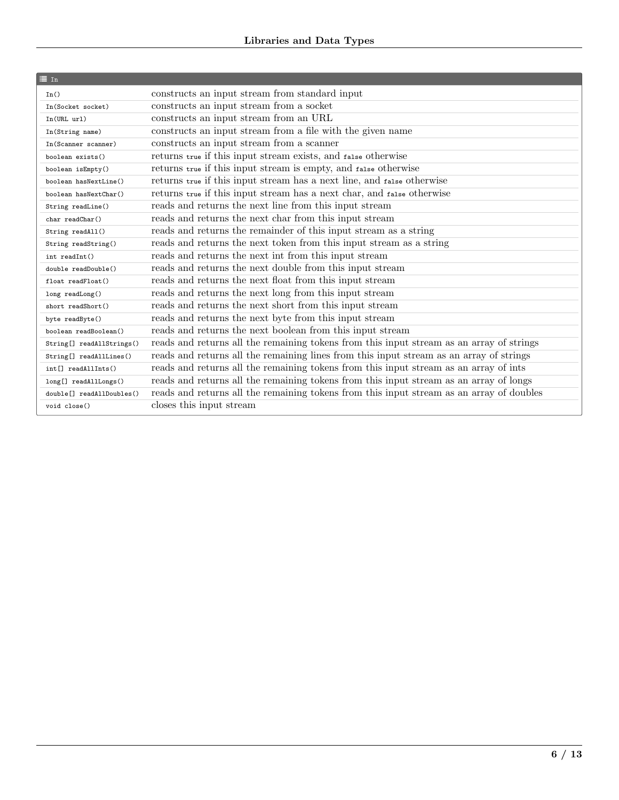| $\equiv$ In                           |                                                                                          |
|---------------------------------------|------------------------------------------------------------------------------------------|
| In()                                  | constructs an input stream from standard input                                           |
| In(Socket socket)                     | constructs an input stream from a socket                                                 |
| In(URL ur1)                           | constructs an input stream from an URL                                                   |
| In(String name)                       | constructs an input stream from a file with the given name                               |
| In(Scanner scanner)                   | constructs an input stream from a scanner                                                |
| boolean exists()                      | returns true if this input stream exists, and false otherwise                            |
| boolean isEmpty()                     | returns true if this input stream is empty, and false otherwise                          |
| boolean hasNextLine()                 | returns true if this input stream has a next line, and false otherwise                   |
| boolean hasNextChar()                 | returns true if this input stream has a next char, and false otherwise                   |
| String readLine()                     | reads and returns the next line from this input stream                                   |
| char readChar()                       | reads and returns the next char from this input stream                                   |
| String readAll()                      | reads and returns the remainder of this input stream as a string                         |
| String readString()                   | reads and returns the next token from this input stream as a string                      |
| int readInt()                         | reads and returns the next int from this input stream                                    |
| double readDouble()                   | reads and returns the next double from this input stream                                 |
| float readFloat()                     | reads and returns the next float from this input stream                                  |
| long readLong()                       | reads and returns the next long from this input stream                                   |
| short readShort()                     | reads and returns the next short from this input stream                                  |
| byte readByte()                       | reads and returns the next byte from this input stream                                   |
| boolean readBoolean()                 | reads and returns the next boolean from this input stream                                |
| String[] readAllStrings()             | reads and returns all the remaining tokens from this input stream as an array of strings |
| String[] readAllLines()               | reads and returns all the remaining lines from this input stream as an array of strings  |
| int[] readAllInts()                   | reads and returns all the remaining tokens from this input stream as an array of ints    |
| long[] readAllLongs()                 | reads and returns all the remaining tokens from this input stream as an array of longs   |
| double <sup>[]</sup> readAllDoubles() | reads and returns all the remaining tokens from this input stream as an array of doubles |
| void close()                          | closes this input stream                                                                 |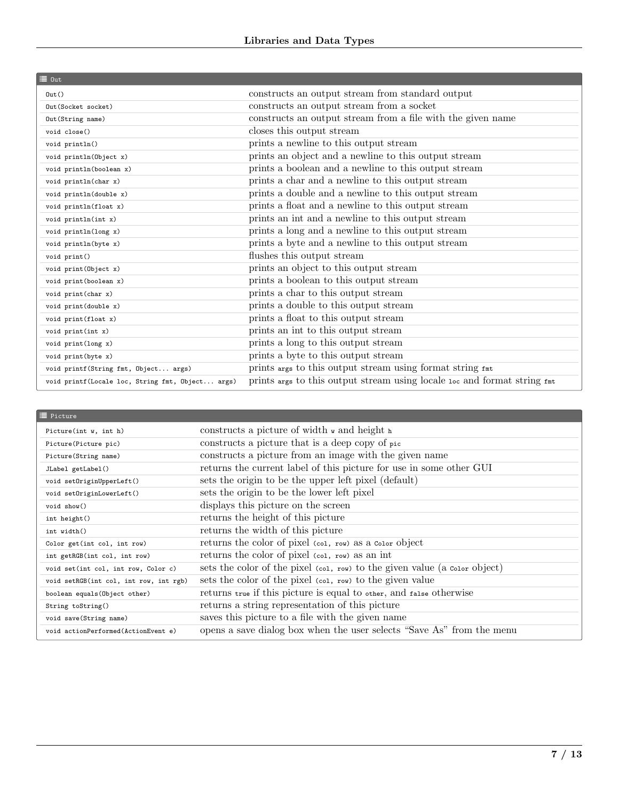| $\equiv 0$ ut                                    |                                                                          |
|--------------------------------------------------|--------------------------------------------------------------------------|
| $0$ ut $()$                                      | constructs an output stream from standard output                         |
| Out (Socket socket)                              | constructs an output stream from a socket                                |
| Out (String name)                                | constructs an output stream from a file with the given name              |
| void close()                                     | closes this output stream                                                |
| void println()                                   | prints a newline to this output stream                                   |
| void println(Object x)                           | prints an object and a newline to this output stream                     |
| void println(boolean x)                          | prints a boolean and a newline to this output stream                     |
| void println(char x)                             | prints a char and a newline to this output stream                        |
| void println(double x)                           | prints a double and a newline to this output stream                      |
| void println(float x)                            | prints a float and a newline to this output stream                       |
| void println(int x)                              | prints an int and a newline to this output stream                        |
| void println(long x)                             | prints a long and a newline to this output stream                        |
| void println(byte x)                             | prints a byte and a newline to this output stream                        |
| void print()                                     | flushes this output stream                                               |
| void print (Object x)                            | prints an object to this output stream                                   |
| void print (boolean x)                           | prints a boolean to this output stream                                   |
| void print (char x)                              | prints a char to this output stream                                      |
| void print(double x)                             | prints a double to this output stream                                    |
| void print(float x)                              | prints a float to this output stream                                     |
| void print(int x)                                | prints an int to this output stream                                      |
| void $print(long x)$                             | prints a long to this output stream                                      |
| void print (byte x)                              | prints a byte to this output stream                                      |
| void printf(String fmt, Object args)             | prints args to this output stream using format string fmt                |
| void printf(Locale loc, String fmt, Object args) | prints args to this output stream using locale 10c and format string fmt |

| Picture(int $w$ , int h)               | constructs a picture of width $\bf{v}$ and height $\bf{h}$                                           |
|----------------------------------------|------------------------------------------------------------------------------------------------------|
| Picture(Picture pic)                   | constructs a picture that is a deep copy of pic                                                      |
| Picture(String name)                   | constructs a picture from an image with the given name                                               |
| JLabel getLabel()                      | returns the current label of this picture for use in some other GUI                                  |
| void setOriginUpperLeft()              | sets the origin to be the upper left pixel (default)                                                 |
| void setOriginLowerLeft()              | sets the origin to be the lower left pixel                                                           |
| void show()                            | displays this picture on the screen                                                                  |
| int height()                           | returns the height of this picture                                                                   |
| int width()                            | returns the width of this picture                                                                    |
| Color get(int col, int row)            | returns the color of pixel (col, row) as a color object                                              |
| int getRGB(int col, int row)           | returns the color of pixel (col, row) as an int                                                      |
| void set(int col, int row, Color c)    | sets the color of the pixel $(\text{col}, \text{row})$ to the given value $(a \text{ color object})$ |
| void setRGB(int col, int row, int rgb) | sets the color of the pixel (col, row) to the given value                                            |
| boolean equals (Object other)          | returns true if this picture is equal to other, and false otherwise                                  |
| String toString()                      | returns a string representation of this picture                                                      |
| void save (String name)                | saves this picture to a file with the given name                                                     |
| void actionPerformed(ActionEvent e)    | opens a save dialog box when the user selects "Save As" from the menu                                |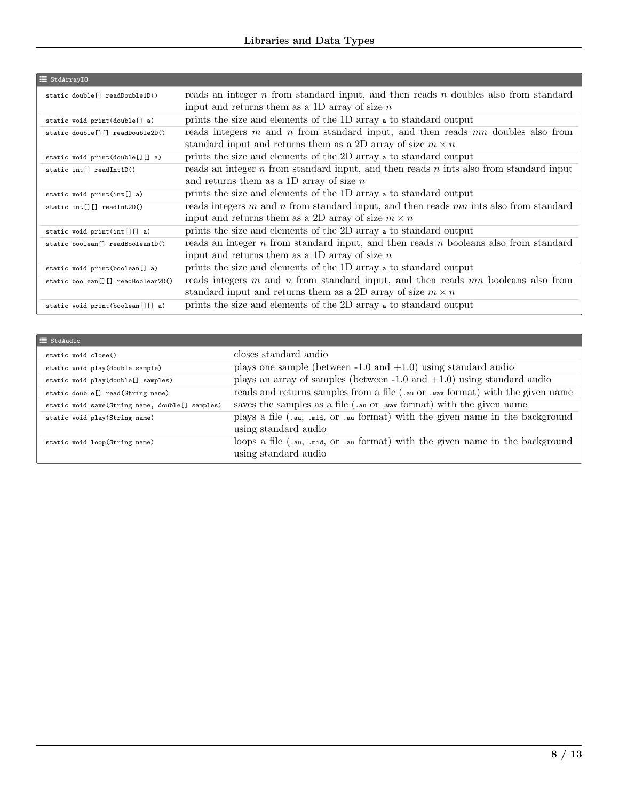| i≡ StdArrayI0                                   |                                                                                                                                                              |
|-------------------------------------------------|--------------------------------------------------------------------------------------------------------------------------------------------------------------|
| static double <sup>[]</sup> readDouble1D()      | reads an integer $n$ from standard input, and then reads $n$ doubles also from standard<br>input and returns them as a 1D array of size $n$                  |
| static void print(double[] a)                   | prints the size and elements of the 1D array a to standard output                                                                                            |
| static double[][] readDouble2D()                | reads integers $m$ and $n$ from standard input, and then reads $mn$ doubles also from<br>standard input and returns them as a 2D array of size $m \times n$  |
| static void print (double[][] a)                | prints the size and elements of the 2D array a to standard output                                                                                            |
| static int <sup>[]</sup> readInt1D()            | reads an integer $n$ from standard input, and then reads $n$ ints also from standard input<br>and returns them as a 1D array of size $n$                     |
| static void print(int[] a)                      | prints the size and elements of the 1D array a to standard output                                                                                            |
| static int[][] readInt2D()                      | reads integers $m$ and $n$ from standard input, and then reads $mn$ ints also from standard<br>input and returns them as a 2D array of size $m \times n$     |
| static void $print(int[][] a)$                  | prints the size and elements of the 2D array a to standard output                                                                                            |
| static boolean[] readBoolean1D()                | reads an integer $n$ from standard input, and then reads $n$ booleans also from standard<br>input and returns them as a 1D array of size $n$                 |
| static void print (boolean[] a)                 | prints the size and elements of the 1D array a to standard output                                                                                            |
| static boolean <sup>[]</sup> [] readBoolean2D() | reads integers $m$ and $n$ from standard input, and then reads $mn$ booleans also from<br>standard input and returns them as a 2D array of size $m \times n$ |
| static void print (boolean [] [] a)             | prints the size and elements of the 2D array a to standard output                                                                                            |

| $\equiv$ StdAudio                               |                                                                                                                                                         |
|-------------------------------------------------|---------------------------------------------------------------------------------------------------------------------------------------------------------|
| static void close()                             | closes standard audio                                                                                                                                   |
| static void play(double sample)                 | plays one sample (between $-1.0$ and $+1.0$ ) using standard audio                                                                                      |
| static void play(double[] samples)              | plays an array of samples (between $-1.0$ and $+1.0$ ) using standard audio                                                                             |
| static double[] read(String name)               | reads and returns samples from a file (.au or .wav format) with the given name                                                                          |
| static void save(String name, double[] samples) | saves the samples as a file (.au or .wav format) with the given name                                                                                    |
| static void play(String name)                   | plays a file $(\cdot, a_{\rm u}, \cdot, \text{mid}, \text{or } \cdot, a_{\rm u})$ format) with the given name in the background<br>using standard audio |
| static void loop(String name)                   | loops a file $(\cdot, a_{\rm u}, \cdot, \text{mid}, \text{or } \cdot, a_{\rm u})$ format) with the given name in the background<br>using standard audio |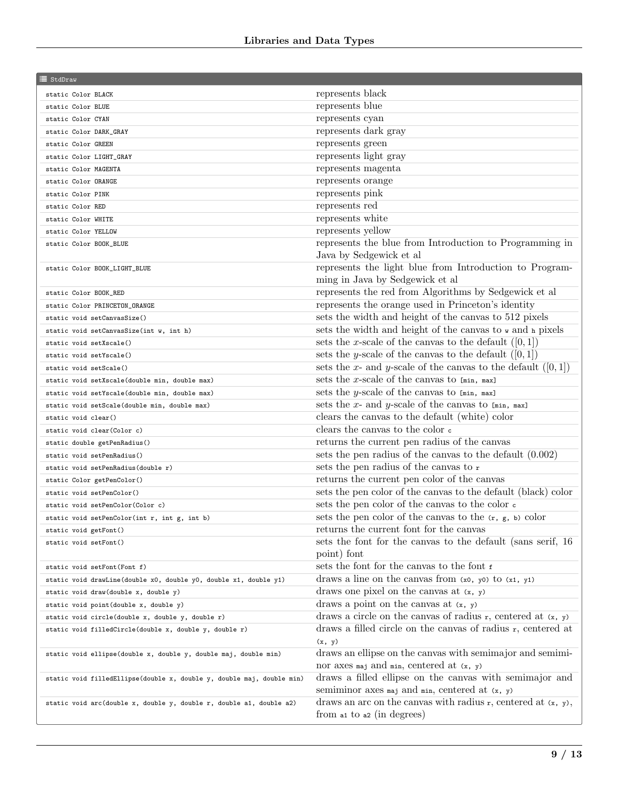| ≡ StdDraw                                                             |                                                                     |
|-----------------------------------------------------------------------|---------------------------------------------------------------------|
| static Color BLACK                                                    | $represents\ black$                                                 |
| static Color BLUE                                                     | represents blue                                                     |
| static Color CYAN                                                     | represents cyan                                                     |
| static Color DARK_GRAY                                                | represents dark gray                                                |
| static Color GREEN                                                    | represents green                                                    |
| static Color LIGHT_GRAY                                               | represents light gray                                               |
| static Color MAGENTA                                                  | represents magenta                                                  |
| static Color ORANGE                                                   | represents orange                                                   |
| static Color PINK                                                     | represents pink                                                     |
| static Color RED                                                      | represents red                                                      |
| static Color WHITE                                                    | represents white                                                    |
| static Color YELLOW                                                   | represents yellow                                                   |
| static Color BOOK_BLUE                                                | represents the blue from Introduction to Programming in             |
|                                                                       | Java by Sedgewick et al                                             |
| static Color BOOK_LIGHT_BLUE                                          | represents the light blue from Introduction to Program-             |
|                                                                       | ming in Java by Sedgewick et al                                     |
| static Color BOOK_RED                                                 | represents the red from Algorithms by Sedgewick et al               |
| static Color PRINCETON_ORANGE                                         | represents the orange used in Princeton's identity                  |
| static void setCanvasSize()                                           | sets the width and height of the canvas to 512 pixels               |
| static void setCanvasSize(int w, int h)                               | sets the width and height of the canvas to w and h pixels           |
| static void setXscale()                                               | sets the x-scale of the canvas to the default $([0,1])$             |
| static void setYscale()                                               | sets the y-scale of the canvas to the default $([0,1])$             |
| static void setScale()                                                | sets the x- and y-scale of the canvas to the default $([0,1])$      |
| static void setXscale(double min, double max)                         | sets the x-scale of the canvas to $[min, max]$                      |
| static void setYscale(double min, double max)                         | sets the y-scale of the canvas to $[min, max]$                      |
| static void setScale(double min, double max)                          | sets the x- and y-scale of the canvas to $[\min, \max]$             |
| static void clear()                                                   | clears the canvas to the default (white) color                      |
| static void clear(Color c)                                            | clears the canvas to the color $\epsilon$                           |
| static double getPenRadius()                                          | returns the current pen radius of the canvas                        |
| static void setPenRadius()                                            | sets the pen radius of the canvas to the default $(0.002)$          |
| static void setPenRadius(double r)                                    | sets the pen radius of the canvas to r                              |
| static Color getPenColor()                                            | returns the current pen color of the canvas                         |
| static void setPenColor()                                             | sets the pen color of the canvas to the default (black) color       |
| static void setPenColor(Color c)                                      | sets the pen color of the canvas to the color $\epsilon$            |
| static void setPenColor(int r, int g, int b)                          | sets the pen color of the canvas to the $(r, g, b)$ color           |
| static void getFont()                                                 | returns the current font for the canvas                             |
| static void setFont()                                                 | sets the font for the canvas to the default (sans serif, 16)        |
|                                                                       | point) font<br>sets the font for the canvas to the font f           |
| static void setFont(Font f)                                           | draws a line on the canvas from $(x0, y0)$ to $(x1, y1)$            |
| static void drawLine(double x0, double y0, double x1, double y1)      | draws one pixel on the canvas at $(x, y)$                           |
| static void draw(double x, double y)                                  | draws a point on the canvas at $(x, y)$                             |
| static void point (double x, double y)                                | draws a circle on the canvas of radius $r$ , centered at $(x, y)$   |
| static void circle(double x, double y, double r)                      | draws a filled circle on the canvas of radius $r$ , centered at     |
| static void filledCircle(double x, double y, double r)                | (x, y)                                                              |
|                                                                       | draws an ellipse on the canvas with semimajor and semimi-           |
| static void ellipse(double x, double y, double maj, double min)       | nor axes maj and min, centered at (x, y)                            |
| static void filledEllipse(double x, double y, double maj, double min) | draws a filled ellipse on the canvas with semimajor and             |
|                                                                       | semiminor axes $maj$ and $min$ , centered at $(x, y)$               |
| static void arc(double x, double y, double r, double a1, double a2)   | draws an arc on the canvas with radius $r$ , centered at $(x, y)$ , |
|                                                                       | from at to a (in degrees)                                           |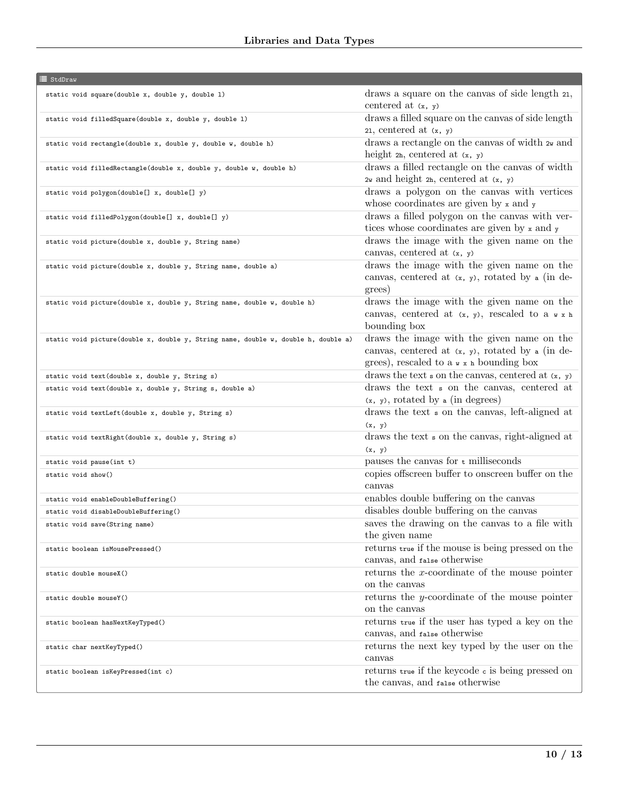## $\equiv$  StdDraw

| static void square(double x, double y, double 1)                                   | draws a square on the canvas of side length 21,           |
|------------------------------------------------------------------------------------|-----------------------------------------------------------|
|                                                                                    | centered at $(x, y)$                                      |
| static void filledSquare(double x, double y, double 1)                             | draws a filled square on the canvas of side length        |
|                                                                                    | 21, centered at $(x, y)$                                  |
| static void rectangle(double x, double y, double w, double h)                      | draws a rectangle on the canvas of width $2w$ and         |
|                                                                                    | height $2h$ , centered at $(x, y)$                        |
| static void filledRectangle(double x, double y, double w, double h)                | draws a filled rectangle on the canvas of width           |
|                                                                                    | $2w$ and height $2h$ , centered at $(x, y)$               |
| static void polygon(double[] x, double[] y)                                        | draws a polygon on the canvas with vertices               |
|                                                                                    | whose coordinates are given by $x$ and $y$                |
| static void filledPolygon(double[] x, double[] y)                                  | draws a filled polygon on the canvas with ver-            |
|                                                                                    | tices whose coordinates are given by x and y              |
| static void picture(double x, double y, String name)                               | draws the image with the given name on the                |
|                                                                                    | canvas, centered at $(x, y)$                              |
| static void picture(double x, double y, String name, double a)                     | draws the image with the given name on the                |
|                                                                                    | canvas, centered at $(x, y)$ , rotated by a (in de-       |
|                                                                                    | grees)                                                    |
| static void picture(double x, double y, String name, double w, double h)           | draws the image with the given name on the                |
|                                                                                    | canvas, centered at $(x, y)$ , rescaled to a $x \times h$ |
|                                                                                    | bounding box                                              |
| static void picture(double x, double y, String name, double w, double h, double a) | draws the image with the given name on the                |
|                                                                                    | canvas, centered at $(x, y)$ , rotated by a (in de-       |
|                                                                                    | grees), rescaled to $a \times x$ h bounding box           |
| static void text(double x, double y, String s)                                     | draws the text $\sin$ on the canvas, centered at $(x, y)$ |
| static void text(double x, double y, String s, double a)                           | draws the text s on the canvas, centered at               |
|                                                                                    | $(x, y)$ , rotated by a (in degrees)                      |
| static void textLeft(double x, double y, String s)                                 | draws the text <b>s</b> on the canvas, left-aligned at    |
|                                                                                    | (x, y)                                                    |
| static void textRight(double x, double y, String s)                                | draws the text s on the canvas, right-aligned at          |
|                                                                                    | (x, y)                                                    |
| static void pause(int t)                                                           | pauses the canvas for $t$ milliseconds                    |
| static void show()                                                                 | copies offscreen buffer to onscreen buffer on the         |
|                                                                                    | canvas                                                    |
| static void enableDoubleBuffering()                                                | enables double buffering on the canvas                    |
| static void disableDoubleBuffering()                                               | disables double buffering on the canvas                   |
| static void save(String name)                                                      | saves the drawing on the canvas to a file with            |
|                                                                                    | the given name                                            |
| static boolean isMousePressed()                                                    | returns true if the mouse is being pressed on the         |
|                                                                                    | canvas, and false otherwise                               |
| static double mouseX()                                                             | returns the $x$ -coordinate of the mouse pointer          |
|                                                                                    | on the canvas                                             |
| static double mouseY()                                                             | returns the $y$ -coordinate of the mouse pointer          |
|                                                                                    | on the canvas                                             |
| static boolean hasNextKeyTyped()                                                   | returns true if the user has typed a key on the           |
|                                                                                    | canvas, and false otherwise                               |
| static char nextKeyTyped()                                                         | returns the next key typed by the user on the             |
|                                                                                    | canvas                                                    |
|                                                                                    | returns true if the keycode c is being pressed on         |
| static boolean isKeyPressed(int c)                                                 | the canvas, and false otherwise                           |
|                                                                                    |                                                           |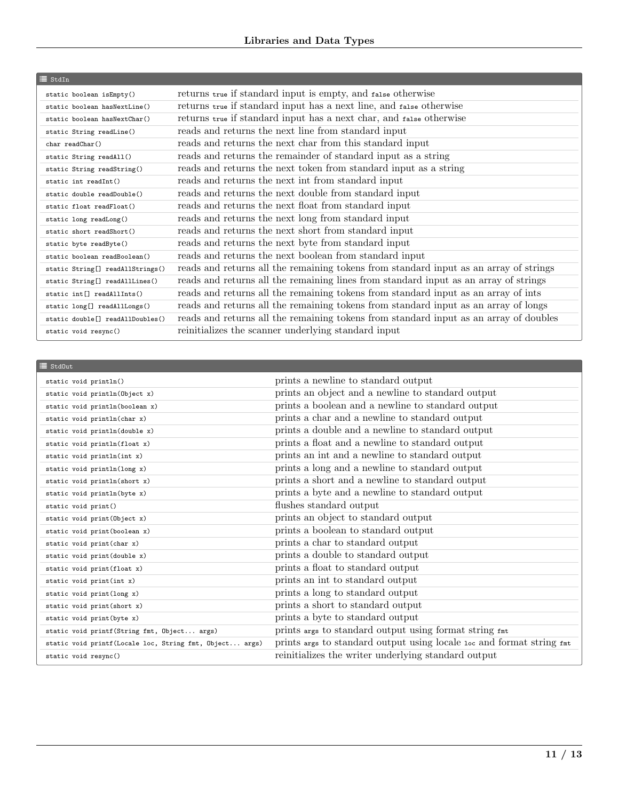| $\equiv$ StdIn                               |                                                                                       |
|----------------------------------------------|---------------------------------------------------------------------------------------|
| static boolean isEmpty()                     | returns true if standard input is empty, and false otherwise                          |
| static boolean hasNextLine()                 | returns true if standard input has a next line, and false otherwise                   |
| static boolean hasNextChar()                 | returns true if standard input has a next char, and false otherwise                   |
| static String readLine()                     | reads and returns the next line from standard input                                   |
| $char$ readChar $()$                         | reads and returns the next char from this standard input                              |
| static String readAll()                      | reads and returns the remainder of standard input as a string                         |
| static String readString()                   | reads and returns the next token from standard input as a string                      |
| static int readInt()                         | reads and returns the next int from standard input                                    |
| static double readDouble()                   | reads and returns the next double from standard input                                 |
| static float readFloat()                     | reads and returns the next float from standard input                                  |
| static long readLong()                       | reads and returns the next long from standard input                                   |
| static short readShort()                     | reads and returns the next short from standard input                                  |
| static byte readByte()                       | reads and returns the next byte from standard input                                   |
| static boolean readBoolean()                 | reads and returns the next boolean from standard input                                |
| static String[] readAllStrings()             | reads and returns all the remaining tokens from standard input as an array of strings |
| static String[] readAllLines()               | reads and returns all the remaining lines from standard input as an array of strings  |
| static int <sup>[]</sup> readAllInts()       | reads and returns all the remaining tokens from standard input as an array of ints    |
| static long[] readAllLongs()                 | reads and returns all the remaining tokens from standard input as an array of longs   |
| static double <sup>[]</sup> readAllDoubles() | reads and returns all the remaining tokens from standard input as an array of doubles |
| static void resync()                         | reinitializes the scanner underlying standard input                                   |

| $\equiv$ Std0ut                                         |                                                                       |
|---------------------------------------------------------|-----------------------------------------------------------------------|
| static void println()                                   | prints a newline to standard output                                   |
| static void println(Object x)                           | prints an object and a newline to standard output                     |
| static void println(boolean x)                          | prints a boolean and a newline to standard output                     |
| static void println(char x)                             | prints a char and a newline to standard output                        |
| static void println(double x)                           | prints a double and a newline to standard output                      |
| static void println(float x)                            | prints a float and a newline to standard output                       |
| static void println(int x)                              | prints an int and a newline to standard output                        |
| static void println(long x)                             | prints a long and a newline to standard output                        |
| static void println(short x)                            | prints a short and a newline to standard output                       |
| static void println(byte x)                             | prints a byte and a newline to standard output                        |
| static void print()                                     | flushes standard output                                               |
| static void print (Object x)                            | prints an object to standard output                                   |
| static void print (boolean x)                           | prints a boolean to standard output                                   |
| static void print (char x)                              | prints a char to standard output                                      |
| static void print (double x)                            | prints a double to standard output                                    |
| static void print(float x)                              | prints a float to standard output                                     |
| static void print(int x)                                | prints an int to standard output                                      |
| static void print (long x)                              | prints a long to standard output                                      |
| static void print (short x)                             | prints a short to standard output                                     |
| static void print (byte x)                              | prints a byte to standard output                                      |
| static void printf (String fmt, Object args)            | prints args to standard output using format string fmt                |
| static void printf(Locale loc, String fmt, Object args) | prints args to standard output using locale 10c and format string fmt |
| static void resync()                                    | reinitializes the writer underlying standard output                   |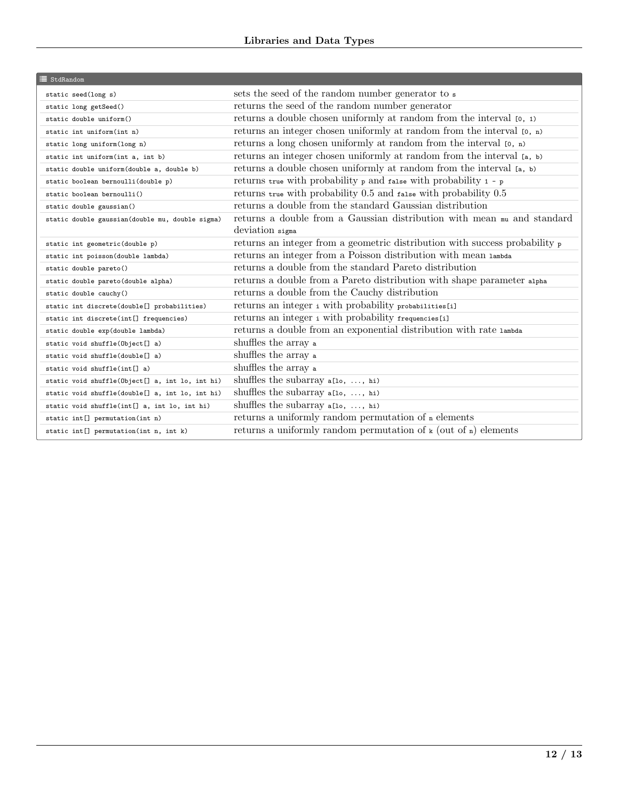| <b>E</b> StdRandom                              |                                                                                         |
|-------------------------------------------------|-----------------------------------------------------------------------------------------|
| static seed(long s)                             | sets the seed of the random number generator to s                                       |
| static long getSeed()                           | returns the seed of the random number generator                                         |
| static double uniform()                         | returns a double chosen uniformly at random from the interval $[0, 1)$                  |
| static int uniform(int n)                       | returns an integer chosen uniformly at random from the interval $[0, n)$                |
| static long uniform(long n)                     | returns a long chosen uniformly at random from the interval $[0, n)$                    |
| static int uniform(int a, int b)                | returns an integer chosen uniformly at random from the interval [a, b)                  |
| static double uniform(double a, double b)       | returns a double chosen uniformly at random from the interval [a, b)                    |
| static boolean bernoulli(double p)              | returns true with probability p and false with probability 1 - p                        |
| static boolean bernoulli()                      | returns true with probability 0.5 and false with probability 0.5                        |
| static double gaussian()                        | returns a double from the standard Gaussian distribution                                |
| static double gaussian(double mu, double sigma) | returns a double from a Gaussian distribution with mean $m\omega$ and standard          |
|                                                 | deviation sigma                                                                         |
| static int geometric(double p)                  | returns an integer from a geometric distribution with success probability $\frac{1}{p}$ |
| static int poisson(double lambda)               | returns an integer from a Poisson distribution with mean lambda                         |
| static double pareto()                          | returns a double from the standard Pareto distribution                                  |
| static double pareto(double alpha)              | returns a double from a Pareto distribution with shape parameter alpha                  |
| static double cauchy()                          | returns a double from the Cauchy distribution                                           |
| static int discrete(double[] probabilities)     | returns an integer i with probability probabilities[i]                                  |
| static int discrete(int[] frequencies)          | returns an integer i with probability frequencies[i]                                    |
| static double exp(double lambda)                | returns a double from an exponential distribution with rate $\tt lambda$                |
| static void shuffle(Object[] a)                 | shuffles the array a                                                                    |
| static void shuffle(double <sup>[]</sup> a)     | shuffles the array a                                                                    |
| static void shuffle(int[] a)                    | shuffles the array a                                                                    |
| static void shuffle(Object[] a, int lo, int hi) | shuffles the subarray $a[10, \ldots, h1)$                                               |
| static void shuffle(double[] a, int lo, int hi) | shuffles the subarray $a[10, \ldots, h1)$                                               |
| static void shuffle(int[] a, int lo, int hi)    | shuffles the subarray a[10, , hi)                                                       |
| static int[] permutation(int n)                 | returns a uniformly random permutation of n elements                                    |
| static int[] permutation(int n, int k)          | returns a uniformly random permutation of $\kappa$ (out of $\kappa$ ) elements          |